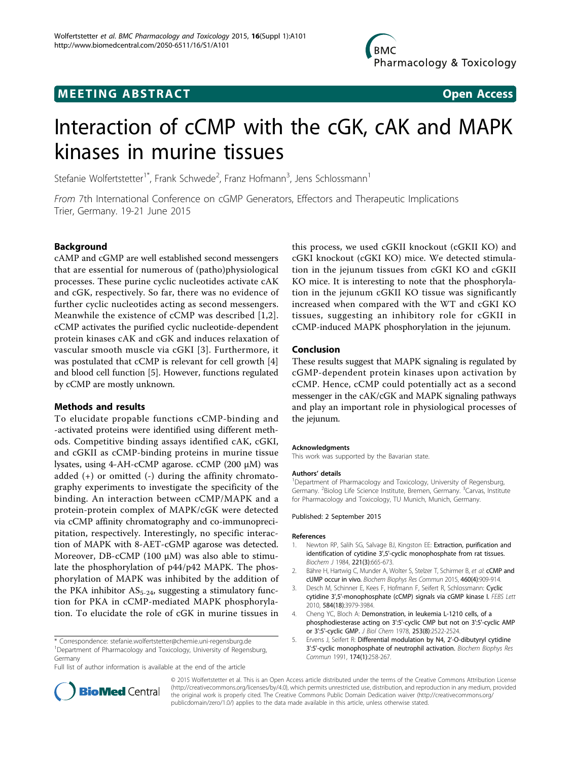

# **MEETING ABSTRACT ACCESS**



# Interaction of cCMP with the cGK, cAK and MAPK kinases in murine tissues

Stefanie Wolfertstetter<sup>1\*</sup>, Frank Schwede<sup>2</sup>, Franz Hofmann<sup>3</sup>, Jens Schlossmann<sup>1</sup>

From 7th International Conference on cGMP Generators, Effectors and Therapeutic Implications Trier, Germany. 19-21 June 2015

# Background

cAMP and cGMP are well established second messengers that are essential for numerous of (patho)physiological processes. These purine cyclic nucleotides activate cAK and cGK, respectively. So far, there was no evidence of further cyclic nucleotides acting as second messengers. Meanwhile the existence of cCMP was described [1,2]. cCMP activates the purified cyclic nucleotide-dependent protein kinases cAK and cGK and induces relaxation of vascular smooth muscle via cGKI [3]. Furthermore, it was postulated that cCMP is relevant for cell growth [4] and blood cell function [5]. However, functions regulated by cCMP are mostly unknown.

## Methods and results

To elucidate propable functions cCMP-binding and -activated proteins were identified using different methods. Competitive binding assays identified cAK, cGKI, and cGKII as cCMP-binding proteins in murine tissue lysates, using 4-AH-cCMP agarose. cCMP (200 µM) was added  $(+)$  or omitted  $(-)$  during the affinity chromatography experiments to investigate the specificity of the binding. An interaction between cCMP/MAPK and a protein-protein complex of MAPK/cGK were detected via cCMP affinity chromatography and co-immunoprecipitation, respectively. Interestingly, no specific interaction of MAPK with 8-AET-cGMP agarose was detected. Moreover, DB-cCMP (100 µM) was also able to stimulate the phosphorylation of p44/p42 MAPK. The phosphorylation of MAPK was inhibited by the addition of the PKA inhibitor  $AS_{5-24}$ , suggesting a stimulatory function for PKA in cCMP-mediated MAPK phosphorylation. To elucidate the role of cGK in murine tissues in

\* Correspondence: [stefanie.wolfertstetter@chemie.uni-regensburg.de](mailto:stefanie.wolfertstetter@chemie.uni-regensburg.de) <sup>1</sup>Department of Pharmacology and Toxicology, University of Regensburg, Germany

Full list of author information is available at the end of the article

this process, we used cGKII knockout (cGKII KO) and cGKI knockout (cGKI KO) mice. We detected stimulation in the jejunum tissues from cGKI KO and cGKII KO mice. It is interesting to note that the phosphorylation in the jejunum cGKII KO tissue was significantly increased when compared with the WT and cGKI KO tissues, suggesting an inhibitory role for cGKII in cCMP-induced MAPK phosphorylation in the jejunum.

# Conclusion

These results suggest that MAPK signaling is regulated by cGMP-dependent protein kinases upon activation by cCMP. Hence, cCMP could potentially act as a second messenger in the cAK/cGK and MAPK signaling pathways and play an important role in physiological processes of the jejunum.

#### Acknowledgments

This work was supported by the Bavarian state.

#### Authors' details <sup>1</sup>

<sup>1</sup>Department of Pharmacology and Toxicology, University of Regensburg, Germany. <sup>2</sup>Biolog Life Science Institute, Bremen, Germany. <sup>3</sup>Carvas, Institute for Pharmacology and Toxicology, TU Munich, Munich, Germany.

#### Published: 2 September 2015

#### References

- 1. Newton RP, Salih SG, Salvage BJ, Kingston EE: Extraction, purification and identification of cytidine 3',5'-cyclic monophosphate from rat tissues. Biochem J 1984, 221(3):665-673.
- 2. Bähre H, Hartwig C, Munder A, Wolter S, Stelzer T, Schirmer B, et al: cCMP and cUMP occur in vivo. Biochem Biophys Res Commun 2015, 460(4):909-914.
- 3. Desch M, Schinner E, Kees F, Hofmann F, Seifert R, Schlossmann: Cyclic cytidine 3',5'-monophosphate (cCMP) signals via cGMP kinase I. FEBS Lett 2010, 584(18):3979-3984.
- 4. Cheng YC, Bloch A: Demonstration, in leukemia L-1210 cells, of a phosphodiesterase acting on 3':5'-cyclic CMP but not on 3':5'-cyclic AMP or 3':5'-cyclic GMP. J Biol Chem 1978, 253(8):2522-2524.
- 5. Ervens J, Seifert R: Differential modulation by N4, 2'-O-dibutyryl cytidine 3':5'-cyclic monophosphate of neutrophil activation. Biochem Biophys Res Commun 1991, 174(1):258-267.



© 2015 Wolfertstetter et al. This is an Open Access article distributed under the terms of the Creative Commons Attribution License [\(http://creativecommons.org/licenses/by/4.0](http://creativecommons.org/licenses/by/4.0)), which permits unrestricted use, distribution, and reproduction in any medium, provided the original work is properly cited. The Creative Commons Public Domain Dedication waiver ([http://creativecommons.org/](http://creativecommons.org/publicdomain/zero/1.0/) [publicdomain/zero/1.0/](http://creativecommons.org/publicdomain/zero/1.0/)) applies to the data made available in this article, unless otherwise stated.